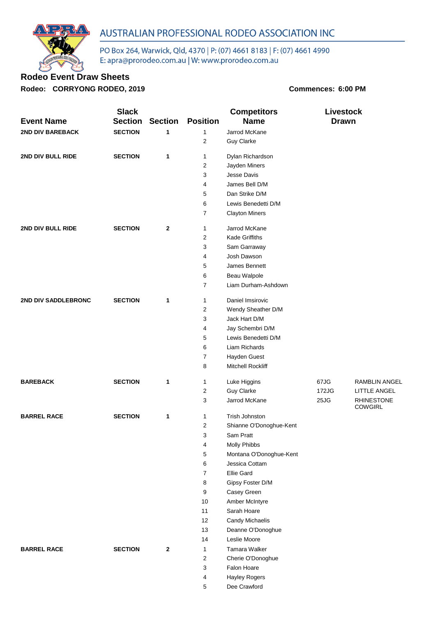

PO Box 264, Warwick, Qld, 4370 | P: (07) 4661 8183 | F: (07) 4661 4990<br>E: apra@prorodeo.com.au | W: www.prorodeo.com.au

## **Rodeo Event Draw Sheets**

**Rodeo: CORRYONG RODEO, 2019 Commences: 6:00 PM**

|                         | <b>Slack</b>   |                |                 | <b>Competitors</b>               |              | <b>Livestock</b>                    |  |
|-------------------------|----------------|----------------|-----------------|----------------------------------|--------------|-------------------------------------|--|
| <b>Event Name</b>       | <b>Section</b> | <b>Section</b> | <b>Position</b> | <b>Name</b>                      | <b>Drawn</b> |                                     |  |
| <b>2ND DIV BAREBACK</b> | <b>SECTION</b> | 1              | $\mathbf{1}$    | Jarrod McKane                    |              |                                     |  |
|                         |                |                | $\overline{2}$  | <b>Guy Clarke</b>                |              |                                     |  |
| 2ND DIV BULL RIDE       | <b>SECTION</b> | 1              | 1               | Dylan Richardson                 |              |                                     |  |
|                         |                |                | 2               | Jayden Miners                    |              |                                     |  |
|                         |                |                | 3               | Jesse Davis                      |              |                                     |  |
|                         |                |                | 4               | James Bell D/M                   |              |                                     |  |
|                         |                |                | 5               | Dan Strike D/M                   |              |                                     |  |
|                         |                |                | 6               | Lewis Benedetti D/M              |              |                                     |  |
|                         |                |                | 7               | <b>Clayton Miners</b>            |              |                                     |  |
| 2ND DIV BULL RIDE       | <b>SECTION</b> | 2              | 1               | Jarrod McKane                    |              |                                     |  |
|                         |                |                | 2               | Kade Griffiths                   |              |                                     |  |
|                         |                |                | 3               | Sam Garraway                     |              |                                     |  |
|                         |                |                | 4               | Josh Dawson                      |              |                                     |  |
|                         |                |                | 5               | James Bennett                    |              |                                     |  |
|                         |                |                | 6               | Beau Walpole                     |              |                                     |  |
|                         |                |                | 7               | Liam Durham-Ashdown              |              |                                     |  |
| 2ND DIV SADDLEBRONC     | <b>SECTION</b> | 1              | 1               | Daniel Imsirovic                 |              |                                     |  |
|                         |                |                | 2               | Wendy Sheather D/M               |              |                                     |  |
|                         |                |                | 3               | Jack Hart D/M                    |              |                                     |  |
|                         |                |                | 4               | Jay Schembri D/M                 |              |                                     |  |
|                         |                |                | 5               | Lewis Benedetti D/M              |              |                                     |  |
|                         |                |                | 6               | Liam Richards                    |              |                                     |  |
|                         |                |                | 7               | Hayden Guest                     |              |                                     |  |
|                         |                |                | 8               | Mitchell Rockliff                |              |                                     |  |
| <b>BAREBACK</b>         | <b>SECTION</b> | 1              | 1               | Luke Higgins                     | 67JG         | <b>RAMBLIN ANGEL</b>                |  |
|                         |                |                | 2               | <b>Guy Clarke</b>                | 172JG        | LITTLE ANGEL                        |  |
|                         |                |                | 3               | Jarrod McKane                    | 25JG         | <b>RHINESTONE</b><br><b>COWGIRL</b> |  |
| <b>BARREL RACE</b>      | <b>SECTION</b> | 1              | 1               | Trish Johnston                   |              |                                     |  |
|                         |                |                | 2               | Shianne O'Donoghue-Kent          |              |                                     |  |
|                         |                |                | 3               | Sam Pratt                        |              |                                     |  |
|                         |                |                | 4               | <b>Molly Phibbs</b>              |              |                                     |  |
|                         |                |                | 5               | Montana O'Donoghue-Kent          |              |                                     |  |
|                         |                |                | 6               | Jessica Cottam                   |              |                                     |  |
|                         |                |                | 7               | <b>Ellie Gard</b>                |              |                                     |  |
|                         |                |                | 8               | Gipsy Foster D/M                 |              |                                     |  |
|                         |                |                | 9               | Casey Green                      |              |                                     |  |
|                         |                |                | 10              | Amber McIntyre                   |              |                                     |  |
|                         |                |                | 11              | Sarah Hoare                      |              |                                     |  |
|                         |                |                | 12              | <b>Candy Michaelis</b>           |              |                                     |  |
|                         |                |                | 13              | Deanne O'Donoghue                |              |                                     |  |
|                         |                |                | 14              | Leslie Moore                     |              |                                     |  |
| <b>BARREL RACE</b>      | <b>SECTION</b> | 2              | 1               | Tamara Walker                    |              |                                     |  |
|                         |                |                | $\overline{2}$  | Cherie O'Donoghue<br>Falon Hoare |              |                                     |  |
|                         |                |                | 3<br>4          | <b>Hayley Rogers</b>             |              |                                     |  |
|                         |                |                | 5               | Dee Crawford                     |              |                                     |  |
|                         |                |                |                 |                                  |              |                                     |  |